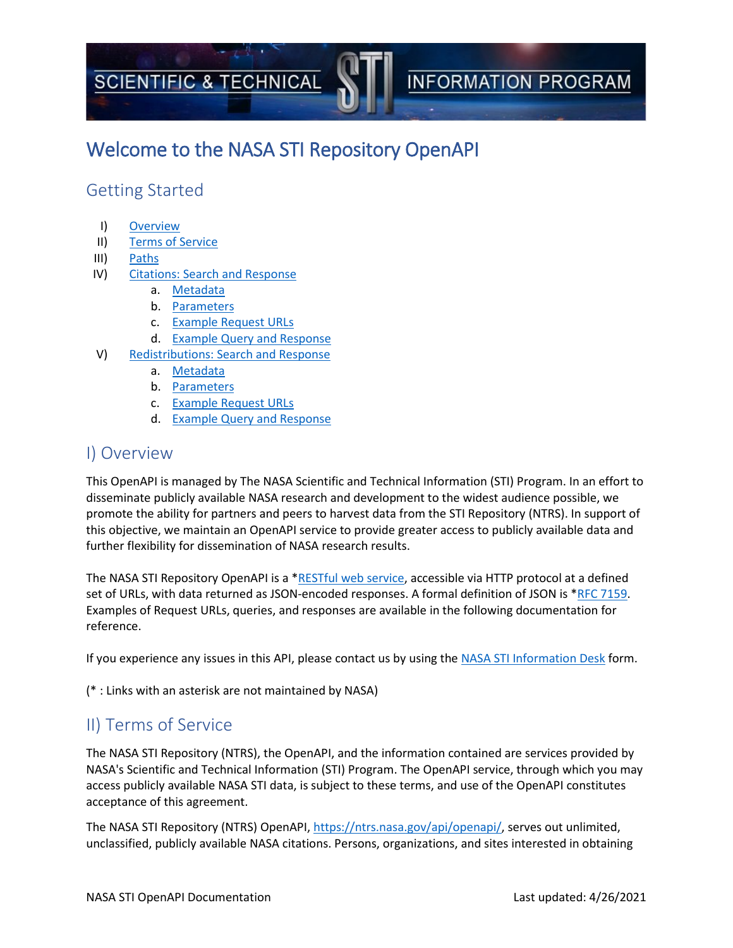**SCIENTIFIC & TECHNICAL** 

# Welcome to the NASA STI Repository OpenAPI

## Getting Started

- I) [Overview](#page-0-0)
- II) [Terms of Service](#page-0-1)
- III) [Paths](#page-2-0)
- IV) Citations: [Search and Response](#page-3-0)
	- a. [Metadata](#page-3-1)
	- b. [Parameters](#page-3-2)
	- c. [Example Request URLs](#page-4-0)
	- d. Example [Query and Response](#page-4-1)
- V) Redistributions: [Search and Response](#page-8-0)
	- a. [Metadata](#page-8-1)
	- b. [Parameters](#page-8-2)
	- c. [Example Request URLs](#page-8-3)
	- d. [Example Query and](#page-8-4) Response

## <span id="page-0-0"></span>I) Overview

This OpenAPI is managed by The NASA Scientific and Technical Information (STI) Program. In an effort to disseminate publicly available NASA research and development to the widest audience possible, we promote the ability for partners and peers to harvest data from the STI Repository (NTRS). In support of this objective, we maintain an OpenAPI service to provide greater access to publicly available data and further flexibility for dissemination of NASA research results.

The NASA STI Repository OpenAPI is a \*RESTful [web service,](https://en.wikipedia.org/wiki/Representational_state_transfer) accessible via HTTP protocol at a defined set of URLs, with data returned as JSON-encoded responses. A formal definition of JSON is [\\*RFC 7159.](https://tools.ietf.org/html/rfc7159) Examples of Request URLs, queries, and responses are available in the following documentation for reference.

If you experience any issues in this API, please contact us by using the [NASA STI Information Desk](https://sti.nasa.gov/contact-us/#.Xz6u725KiUk) form.

<span id="page-0-1"></span>(\* : Links with an asterisk are not maintained by NASA)

# II) Terms of Service

The NASA STI Repository (NTRS), the OpenAPI, and the information contained are services provided by NASA's Scientific and Technical Information (STI) Program. The OpenAPI service, through which you may access publicly available NASA STI data, is subject to these terms, and use of the OpenAPI constitutes acceptance of this agreement.

The NASA STI Repository (NTRS) OpenAPI, [https://ntrs.nasa.gov/api/openapi/,](https://ntrs.nasa.gov/api/openapi/) serves out unlimited, unclassified, publicly available NASA citations. Persons, organizations, and sites interested in obtaining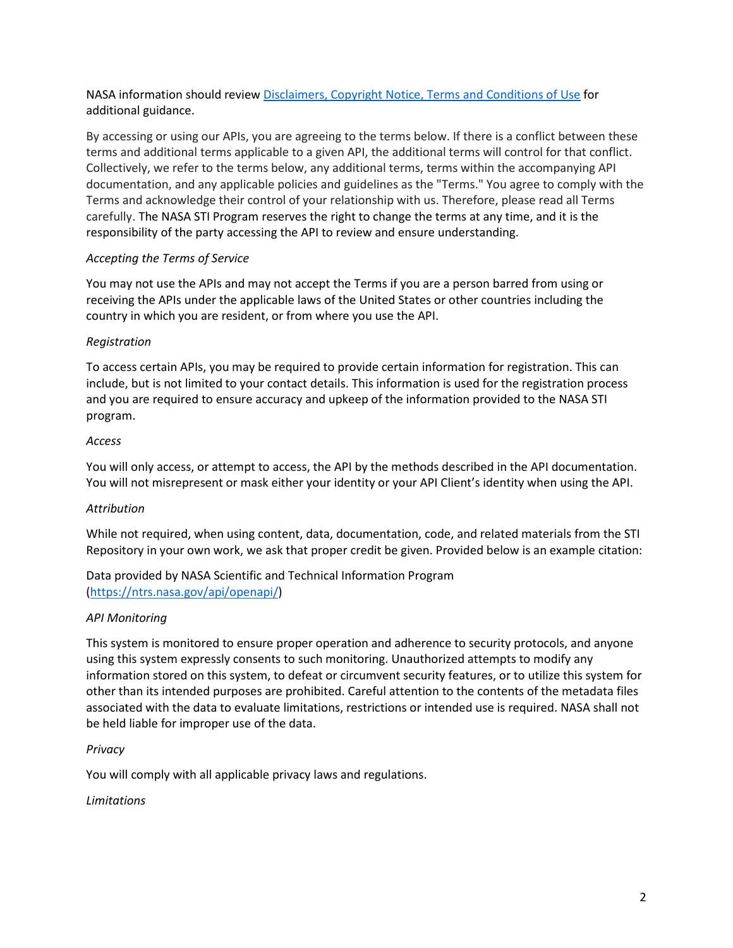NASA information should review [Disclaimers, Copyright Notice, Terms and Conditions of Use](https://sti.nasa.gov/disclaimers/) for additional guidance.

By accessing or using our APIs, you are agreeing to the terms below. If there is a conflict between these terms and additional terms applicable to a given API, the additional terms will control for that conflict. Collectively, we refer to the terms below, any additional terms, terms within the accompanying API documentation, and any applicable policies and guidelines as the "Terms." You agree to comply with the Terms and acknowledge their control of your relationship with us. Therefore, please read all Terms carefully. The NASA STI Program reserves the right to change the terms at any time, and it is the responsibility of the party accessing the API to review and ensure understanding.

#### *Accepting the Terms of Service*

You may not use the APIs and may not accept the Terms if you are a person barred from using or receiving the APIs under the applicable laws of the United States or other countries including the country in which you are resident, or from where you use the API.

#### *Registration*

To access certain APIs, you may be required to provide certain information for registration. This can include, but is not limited to your contact details. This information is used for the registration process and you are required to ensure accuracy and upkeep of the information provided to the NASA STI program.

#### *Access*

You will only access, or attempt to access, the API by the methods described in the API documentation. You will not misrepresent or mask either your identity or your API Client's identity when using the API.

#### *Attribution*

While not required, when using content, data, documentation, code, and related materials from the STI Repository in your own work, we ask that proper credit be given. Provided below is an example citation:

Data provided by NASA Scientific and Technical Information Program [\(https://ntrs.nasa.gov/api/openapi/\)](https://ntrs.nasa.gov/api/openapi/)

#### *API Monitoring*

This system is monitored to ensure proper operation and adherence to security protocols, and anyone using this system expressly consents to such monitoring. Unauthorized attempts to modify any information stored on this system, to defeat or circumvent security features, or to utilize this system for other than its intended purposes are prohibited. Careful attention to the contents of the metadata files associated with the data to evaluate limitations, restrictions or intended use is required. NASA shall not be held liable for improper use of the data.

#### *Privacy*

You will comply with all applicable privacy laws and regulations.

#### *Limitations*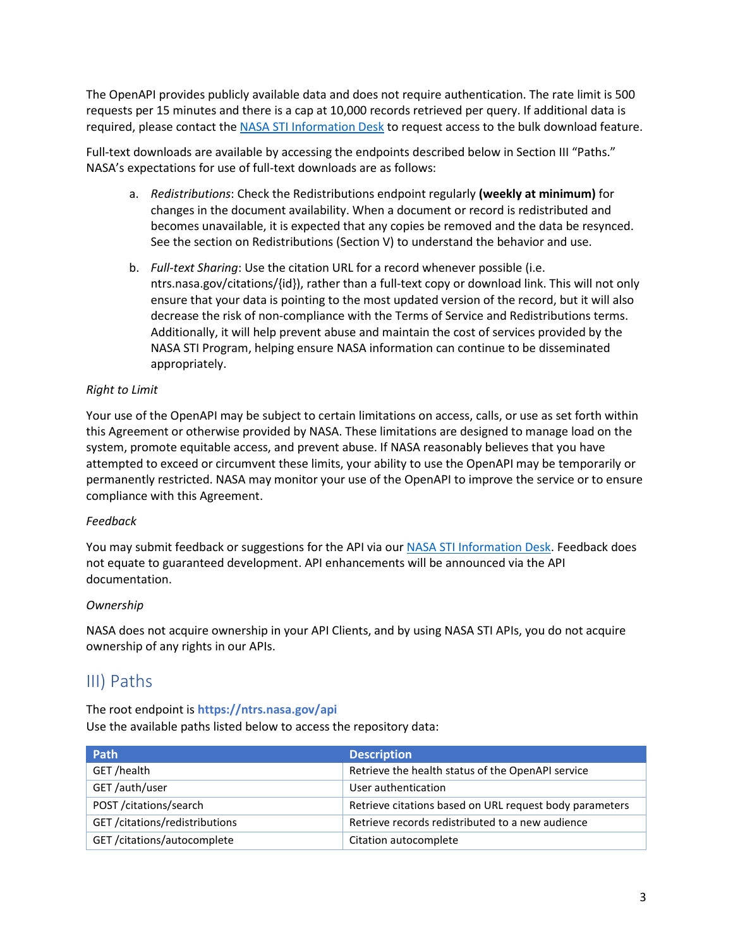The OpenAPI provides publicly available data and does not require authentication. The rate limit is 500 requests per 15 minutes and there is a cap at 10,000 records retrieved per query. If additional data is required, please contact the [NASA STI Information Desk](https://sti.nasa.gov/contact-us/#.Xz6u725KiUk) to request access to the bulk download feature.

Full-text downloads are available by accessing the endpoints described below in Section III "Paths." NASA's expectations for use of full-text downloads are as follows:

- a. *Redistributions*: Check the Redistributions endpoint regularly **(weekly at minimum)** for changes in the document availability. When a document or record is redistributed and becomes unavailable, it is expected that any copies be removed and the data be resynced. See the section on Redistributions (Section V) to understand the behavior and use.
- b. *Full-text Sharing*: Use the citation URL for a record whenever possible (i.e. ntrs.nasa.gov/citations/{id}), rather than a full-text copy or download link. This will not only ensure that your data is pointing to the most updated version of the record, but it will also decrease the risk of non-compliance with the Terms of Service and Redistributions terms. Additionally, it will help prevent abuse and maintain the cost of services provided by the NASA STI Program, helping ensure NASA information can continue to be disseminated appropriately.

#### *Right to Limit*

Your use of the OpenAPI may be subject to certain limitations on access, calls, or use as set forth within this Agreement or otherwise provided by NASA. These limitations are designed to manage load on the system, promote equitable access, and prevent abuse. If NASA reasonably believes that you have attempted to exceed or circumvent these limits, your ability to use the OpenAPI may be temporarily or permanently restricted. NASA may monitor your use of the OpenAPI to improve the service or to ensure compliance with this Agreement.

#### *Feedback*

You may submit feedback or suggestions for the API via our [NASA STI Information Desk.](https://sti.nasa.gov/contact-us/#.Xz6u725KiUk) Feedback does not equate to guaranteed development. API enhancements will be announced via the API documentation.

#### *Ownership*

NASA does not acquire ownership in your API Clients, and by using NASA STI APIs, you do not acquire ownership of any rights in our APIs.

## <span id="page-2-0"></span>III) Paths

#### The root endpoint is **https://ntrs.nasa.gov/api**

Use the available paths listed below to access the repository data:

| Path                            | <b>Description</b>                                      |
|---------------------------------|---------------------------------------------------------|
| GET/health                      | Retrieve the health status of the OpenAPI service       |
| GET /auth/user                  | User authentication                                     |
| POST / citations/search         | Retrieve citations based on URL request body parameters |
| GET / citations/redistributions | Retrieve records redistributed to a new audience        |
| GET /citations/autocomplete     | Citation autocomplete                                   |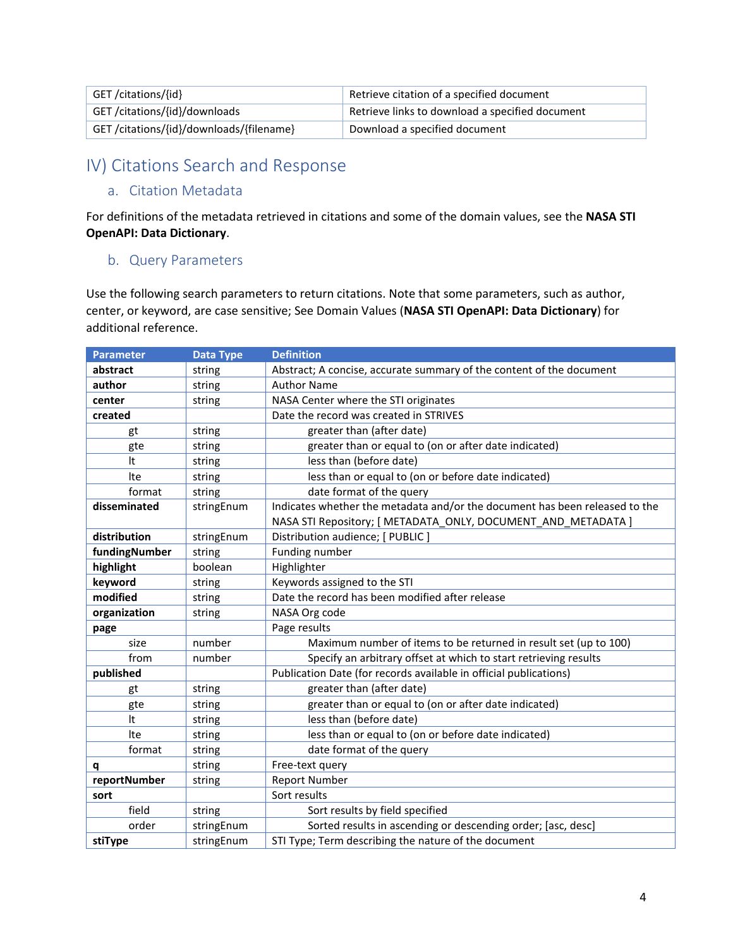| GET /citations/{id}                      | Retrieve citation of a specified document       |
|------------------------------------------|-------------------------------------------------|
| GET /citations/{id}/downloads            | Retrieve links to download a specified document |
| GET /citations/{id}/downloads/{filename} | Download a specified document                   |

# <span id="page-3-1"></span><span id="page-3-0"></span>IV) Citations Search and Response

## a. Citation Metadata

For definitions of the metadata retrieved in citations and some of the domain values, see the **NASA STI OpenAPI: Data Dictionary**.

## <span id="page-3-2"></span>b. Query Parameters

Use the following search parameters to return citations. Note that some parameters, such as author, center, or keyword, are case sensitive; See Domain Values (**NASA STI OpenAPI: Data Dictionary**) for additional reference.

| <b>Parameter</b> | <b>Data Type</b> | <b>Definition</b>                                                                                                                            |
|------------------|------------------|----------------------------------------------------------------------------------------------------------------------------------------------|
| abstract         | string           | Abstract; A concise, accurate summary of the content of the document                                                                         |
| author           | string           | <b>Author Name</b>                                                                                                                           |
| center           | string           | NASA Center where the STI originates                                                                                                         |
| created          |                  | Date the record was created in STRIVES                                                                                                       |
| gt               | string           | greater than (after date)                                                                                                                    |
| gte              | string           | greater than or equal to (on or after date indicated)                                                                                        |
| It               | string           | less than (before date)                                                                                                                      |
| Ite              | string           | less than or equal to (on or before date indicated)                                                                                          |
| format           | string           | date format of the query                                                                                                                     |
| disseminated     | stringEnum       | Indicates whether the metadata and/or the document has been released to the<br>NASA STI Repository; [ METADATA_ONLY, DOCUMENT_AND_METADATA ] |
| distribution     | stringEnum       | Distribution audience; [ PUBLIC ]                                                                                                            |
| fundingNumber    | string           | Funding number                                                                                                                               |
| highlight        | boolean          | Highlighter                                                                                                                                  |
| keyword          | string           | Keywords assigned to the STI                                                                                                                 |
| modified         | string           | Date the record has been modified after release                                                                                              |
| organization     | string           | NASA Org code                                                                                                                                |
| page             |                  | Page results                                                                                                                                 |
| size             | number           | Maximum number of items to be returned in result set (up to 100)                                                                             |
| from             | number           | Specify an arbitrary offset at which to start retrieving results                                                                             |
| published        |                  | Publication Date (for records available in official publications)                                                                            |
| gt               | string           | greater than (after date)                                                                                                                    |
| gte              | string           | greater than or equal to (on or after date indicated)                                                                                        |
| It               | string           | less than (before date)                                                                                                                      |
| Ite              | string           | less than or equal to (on or before date indicated)                                                                                          |
| format           | string           | date format of the query                                                                                                                     |
| q                | string           | Free-text query                                                                                                                              |
| reportNumber     | string           | <b>Report Number</b>                                                                                                                         |
| sort             |                  | Sort results                                                                                                                                 |
| field            | string           | Sort results by field specified                                                                                                              |
| order            | stringEnum       | Sorted results in ascending or descending order; [asc, desc]                                                                                 |
| stiType          | stringEnum       | STI Type; Term describing the nature of the document                                                                                         |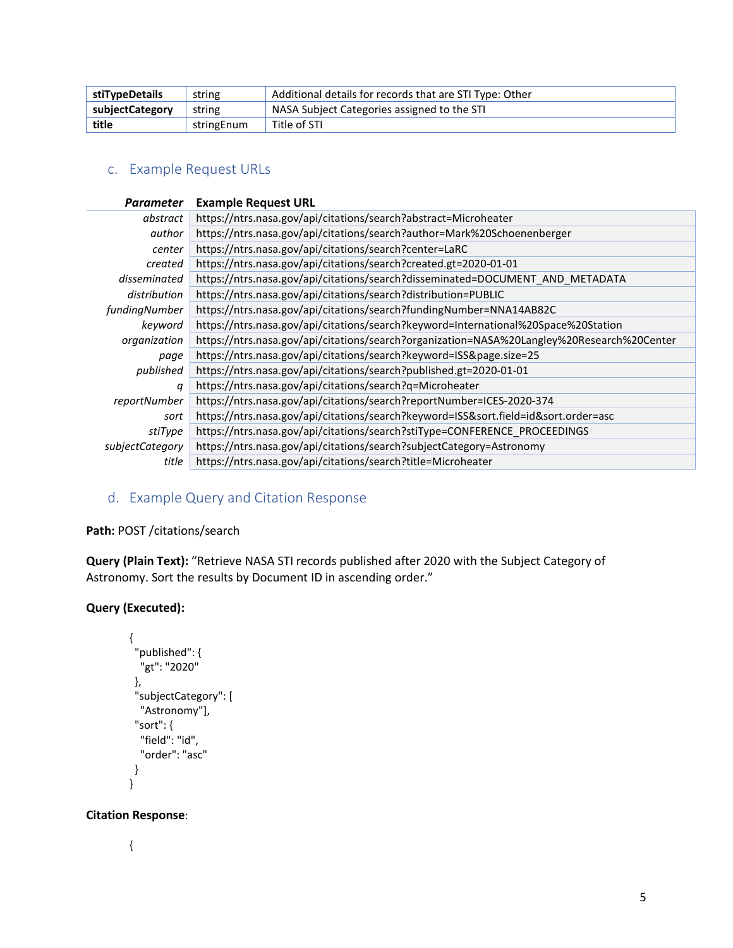| stiTypeDetails  | string     | Additional details for records that are STI Type: Other |
|-----------------|------------|---------------------------------------------------------|
| subjectCategory | string     | NASA Subject Categories assigned to the STI             |
| title           | stringEnum | Title of STI                                            |

## <span id="page-4-0"></span>c. Example Request URLs

| https://ntrs.nasa.gov/api/citations/search?abstract=Microheater<br>abstract<br>https://ntrs.nasa.gov/api/citations/search?author=Mark%20Schoenenberger<br>author<br>https://ntrs.nasa.gov/api/citations/search?center=LaRC<br>center<br>https://ntrs.nasa.gov/api/citations/search?created.gt=2020-01-01<br>created |  |
|---------------------------------------------------------------------------------------------------------------------------------------------------------------------------------------------------------------------------------------------------------------------------------------------------------------------|--|
|                                                                                                                                                                                                                                                                                                                     |  |
|                                                                                                                                                                                                                                                                                                                     |  |
|                                                                                                                                                                                                                                                                                                                     |  |
|                                                                                                                                                                                                                                                                                                                     |  |
| https://ntrs.nasa.gov/api/citations/search?disseminated=DOCUMENT_AND METADATA<br>disseminated                                                                                                                                                                                                                       |  |
| https://ntrs.nasa.gov/api/citations/search?distribution=PUBLIC<br>distribution                                                                                                                                                                                                                                      |  |
| https://ntrs.nasa.gov/api/citations/search?fundingNumber=NNA14AB82C<br>fundingNumber                                                                                                                                                                                                                                |  |
| https://ntrs.nasa.gov/api/citations/search?keyword=International%20Space%20Station<br>keyword                                                                                                                                                                                                                       |  |
| https://ntrs.nasa.gov/api/citations/search?organization=NASA%20Langley%20Research%20Center<br>organization                                                                                                                                                                                                          |  |
| https://ntrs.nasa.gov/api/citations/search?keyword=ISS&page.size=25<br>page                                                                                                                                                                                                                                         |  |
| https://ntrs.nasa.gov/api/citations/search?published.gt=2020-01-01<br>published                                                                                                                                                                                                                                     |  |
| https://ntrs.nasa.gov/api/citations/search?q=Microheater<br>q                                                                                                                                                                                                                                                       |  |
| https://ntrs.nasa.gov/api/citations/search?reportNumber=ICES-2020-374<br>reportNumber                                                                                                                                                                                                                               |  |
| https://ntrs.nasa.gov/api/citations/search?keyword=ISS&sort.field=id&sort.order=asc<br>sort                                                                                                                                                                                                                         |  |
| https://ntrs.nasa.gov/api/citations/search?stiType=CONFERENCE_PROCEEDINGS<br>stiType                                                                                                                                                                                                                                |  |
| https://ntrs.nasa.gov/api/citations/search?subjectCategory=Astronomy<br>subjectCategory                                                                                                                                                                                                                             |  |
| https://ntrs.nasa.gov/api/citations/search?title=Microheater<br>title                                                                                                                                                                                                                                               |  |

## <span id="page-4-1"></span>d. Example Query and Citation Response

Path: POST / citations/search

**Query (Plain Text):** "Retrieve NASA STI records published after 2020 with the Subject Category of Astronomy. Sort the results by Document ID in ascending order."

### **Query (Executed):**

```
{
  "published": {
  .<br>"gt": "2020"
  },
  "subjectCategory": [
   "Astronomy"],
  "sort": {
   "field": "id",
   "order": "asc"
  }
}
```
#### **Citation Response**:

{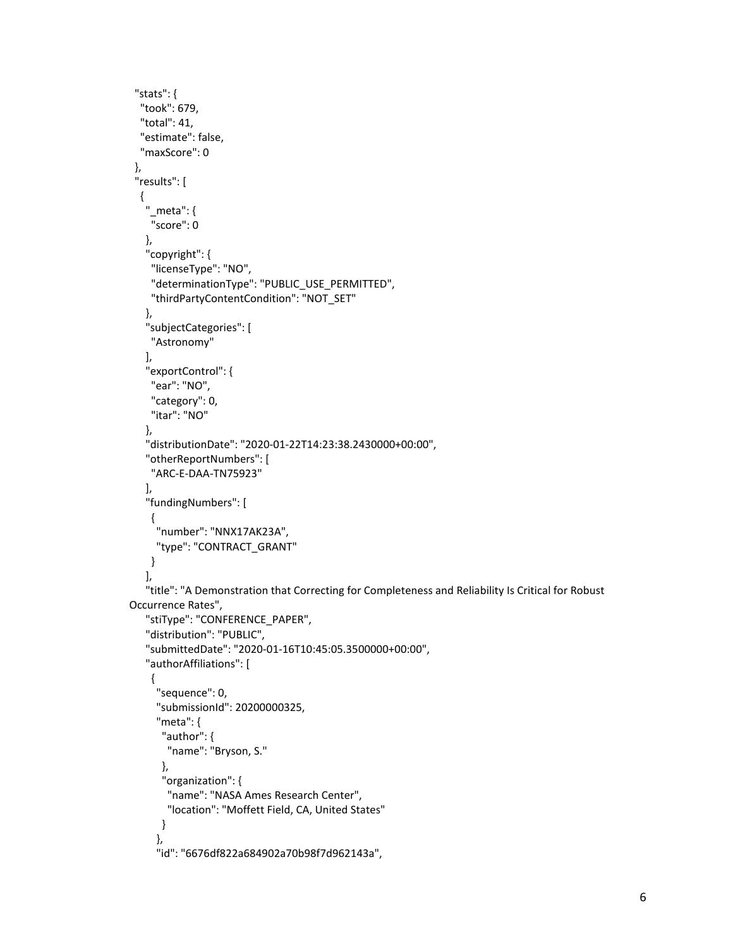```
 "stats": {
   "took": 679,
   "total": 41,
   "estimate": false,
   "maxScore": 0
  },
  "results": [
   {
   "meta": "score": 0
    },
    "copyright": {
     "licenseType": "NO",
     "determinationType": "PUBLIC_USE_PERMITTED",
     "thirdPartyContentCondition": "NOT_SET"
    },
    "subjectCategories": [
     "Astronomy"
    ],
    "exportControl": {
     "ear": "NO",
     "category": 0,
     "itar": "NO"
    },
    "distributionDate": "2020-01-22T14:23:38.2430000+00:00",
    "otherReportNumbers": [
     "ARC-E-DAA-TN75923"
    ],
    "fundingNumbers": [
     {
      "number": "NNX17AK23A",
      "type": "CONTRACT_GRANT"
     }
    ],
    "title": "A Demonstration that Correcting for Completeness and Reliability Is Critical for Robust 
Occurrence Rates",
    "stiType": "CONFERENCE_PAPER",
    "distribution": "PUBLIC",
    "submittedDate": "2020-01-16T10:45:05.3500000+00:00",
    "authorAffiliations": [
     {
      "sequence": 0,
      "submissionId": 20200000325,
      "meta": {
       "author": {
         "name": "Bryson, S."
       },
       "organization": {
        "name": "NASA Ames Research Center",
        "location": "Moffett Field, CA, United States"
       }
      },
      "id": "6676df822a684902a70b98f7d962143a",
```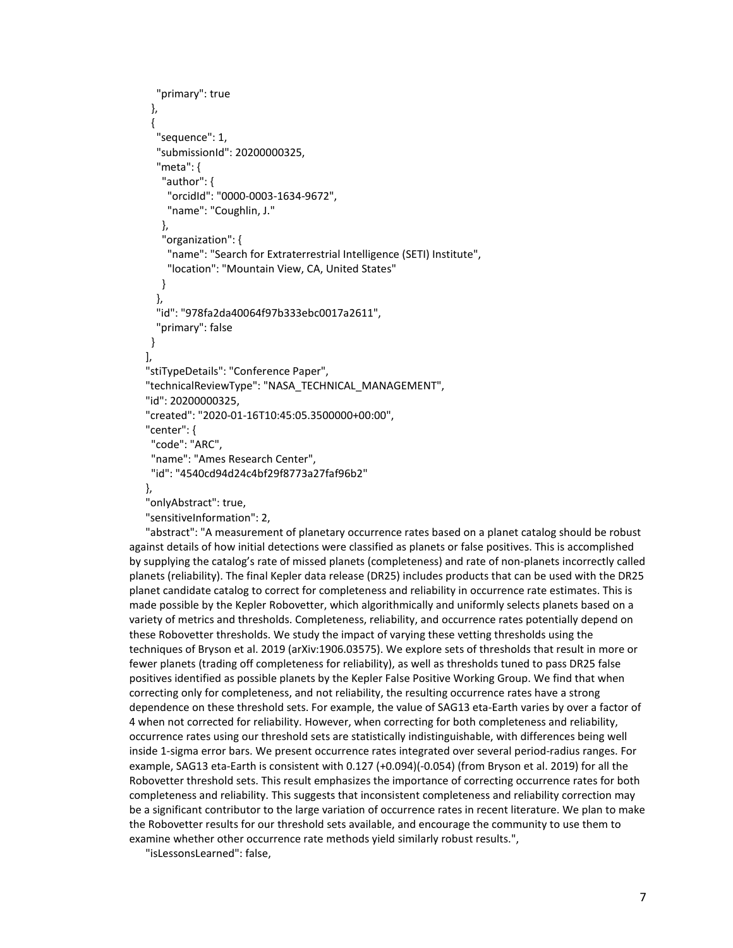```
 "primary": true
  },
  {
   "sequence": 1,
   "submissionId": 20200000325,
   "meta": {
    "author": {
     "orcidId": "0000-0003-1634-9672",
     "name": "Coughlin, J."
    },
    "organization": {
     "name": "Search for Extraterrestrial Intelligence (SETI) Institute",
     "location": "Mountain View, CA, United States"
    }
   },
   "id": "978fa2da40064f97b333ebc0017a2611",
   "primary": false
  }
 ],
 "stiTypeDetails": "Conference Paper",
 "technicalReviewType": "NASA_TECHNICAL_MANAGEMENT",
 "id": 20200000325,
 "created": "2020-01-16T10:45:05.3500000+00:00",
 "center": {
  "code": "ARC",
  "name": "Ames Research Center",
  "id": "4540cd94d24c4bf29f8773a27faf96b2"
 },
 "onlyAbstract": true,
```
"sensitiveInformation": 2,

 "abstract": "A measurement of planetary occurrence rates based on a planet catalog should be robust against details of how initial detections were classified as planets or false positives. This is accomplished by supplying the catalog's rate of missed planets (completeness) and rate of non-planets incorrectly called planets (reliability). The final Kepler data release (DR25) includes products that can be used with the DR25 planet candidate catalog to correct for completeness and reliability in occurrence rate estimates. This is made possible by the Kepler Robovetter, which algorithmically and uniformly selects planets based on a variety of metrics and thresholds. Completeness, reliability, and occurrence rates potentially depend on these Robovetter thresholds. We study the impact of varying these vetting thresholds using the techniques of Bryson et al. 2019 (arXiv:1906.03575). We explore sets of thresholds that result in more or fewer planets (trading off completeness for reliability), as well as thresholds tuned to pass DR25 false positives identified as possible planets by the Kepler False Positive Working Group. We find that when correcting only for completeness, and not reliability, the resulting occurrence rates have a strong dependence on these threshold sets. For example, the value of SAG13 eta-Earth varies by over a factor of 4 when not corrected for reliability. However, when correcting for both completeness and reliability, occurrence rates using our threshold sets are statistically indistinguishable, with differences being well inside 1-sigma error bars. We present occurrence rates integrated over several period-radius ranges. For example, SAG13 eta-Earth is consistent with 0.127 (+0.094)(-0.054) (from Bryson et al. 2019) for all the Robovetter threshold sets. This result emphasizes the importance of correcting occurrence rates for both completeness and reliability. This suggests that inconsistent completeness and reliability correction may be a significant contributor to the large variation of occurrence rates in recent literature. We plan to make the Robovetter results for our threshold sets available, and encourage the community to use them to examine whether other occurrence rate methods yield similarly robust results.",

"isLessonsLearned": false,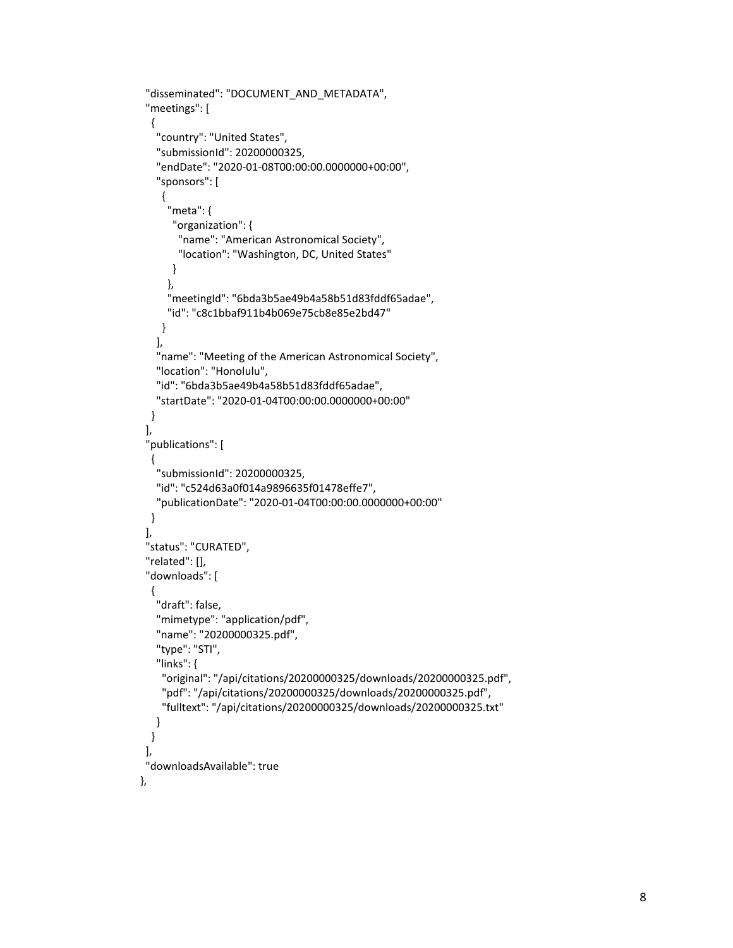```
 "disseminated": "DOCUMENT_AND_METADATA",
  "meetings": [
   {
    "country": "United States",
    "submissionId": 20200000325,
    "endDate": "2020-01-08T00:00:00.0000000+00:00",
    "sponsors": [
     {
       "meta": {
       "organization": {
        "name": "American Astronomical Society",
        "location": "Washington, DC, United States"
       }
      },
      "meetingId": "6bda3b5ae49b4a58b51d83fddf65adae",
      "id": "c8c1bbaf911b4b069e75cb8e85e2bd47"
     }
    ],
    "name": "Meeting of the American Astronomical Society",
    "location": "Honolulu",
    "id": "6bda3b5ae49b4a58b51d83fddf65adae",
    "startDate": "2020-01-04T00:00:00.0000000+00:00"
   }
  ],
  "publications": [
   {
    "submissionId": 20200000325,
    "id": "c524d63a0f014a9896635f01478effe7",
    "publicationDate": "2020-01-04T00:00:00.0000000+00:00"
   }
  ],
  "status": "CURATED",
  "related": [],
  "downloads": [
   {
    "draft": false,
    "mimetype": "application/pdf",
    "name": "20200000325.pdf",
    "type": "STI",
    "links": {
     "original": "/api/citations/20200000325/downloads/20200000325.pdf",
     "pdf": "/api/citations/20200000325/downloads/20200000325.pdf",
     "fulltext": "/api/citations/20200000325/downloads/20200000325.txt"
    }
   }
  ],
  "downloadsAvailable": true
 },
```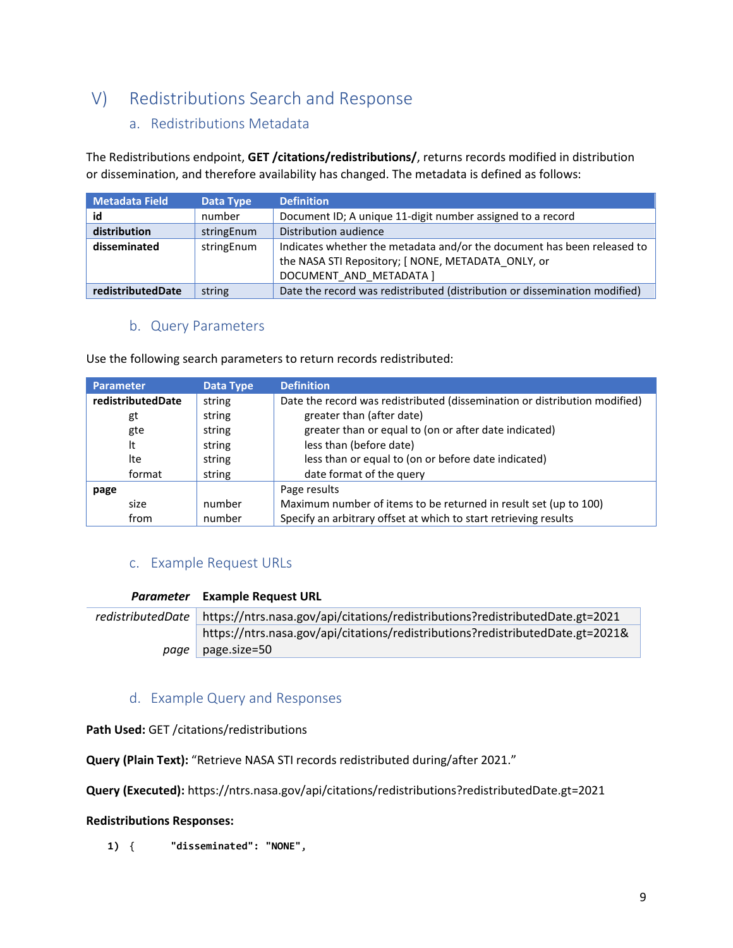# <span id="page-8-1"></span><span id="page-8-0"></span>V) Redistributions Search and Response

### a. Redistributions Metadata

The Redistributions endpoint, **GET /citations/redistributions/**, returns records modified in distribution or dissemination, and therefore availability has changed. The metadata is defined as follows:

| Metadata Field    | Data Type  | <b>Definition</b>                                                                                                                                        |
|-------------------|------------|----------------------------------------------------------------------------------------------------------------------------------------------------------|
| id                | number     | Document ID; A unique 11-digit number assigned to a record                                                                                               |
| distribution      | stringEnum | Distribution audience                                                                                                                                    |
| disseminated      | stringEnum | Indicates whether the metadata and/or the document has been released to<br>the NASA STI Repository; [ NONE, METADATA ONLY, or<br>DOCUMENT AND METADATA ] |
| redistributedDate | string     | Date the record was redistributed (distribution or dissemination modified)                                                                               |

### b. Query Parameters

<span id="page-8-2"></span>Use the following search parameters to return records redistributed:

| <b>Parameter</b>  | Data Type | <b>Definition</b>                                                          |
|-------------------|-----------|----------------------------------------------------------------------------|
| redistributedDate | string    | Date the record was redistributed (dissemination or distribution modified) |
| gt                | string    | greater than (after date)                                                  |
| gte               | string    | greater than or equal to (on or after date indicated)                      |
| It                | string    | less than (before date)                                                    |
| lte               | string    | less than or equal to (on or before date indicated)                        |
| format            | string    | date format of the query                                                   |
| page              |           | Page results                                                               |
| size              | number    | Maximum number of items to be returned in result set (up to 100)           |
| from              | number    | Specify an arbitrary offset at which to start retrieving results           |

#### c. Example Request URLs

<span id="page-8-3"></span>

|      | Parameter Example Request URL                                                                   |
|------|-------------------------------------------------------------------------------------------------|
|      | redistributedDate https://ntrs.nasa.gov/api/citations/redistributions?redistributedDate.gt=2021 |
|      | https://ntrs.nasa.gov/api/citations/redistributions?redistributedDate.gt=2021&                  |
| page | page.size=50                                                                                    |

#### <span id="page-8-4"></span>d. Example Query and Responses

**Path Used:** GET /citations/redistributions

**Query (Plain Text):** "Retrieve NASA STI records redistributed during/after 2021."

**Query (Executed):** https://ntrs.nasa.gov/api/citations/redistributions?redistributedDate.gt=2021

#### **Redistributions Responses:**

**1)** { **"disseminated": "NONE"**,